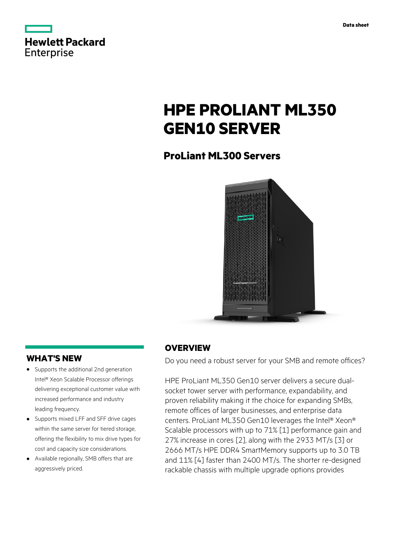|            | <b>Hewlett Packard</b> |
|------------|------------------------|
| Enterprise |                        |

# **HPE PROLIANT ML350 GEN10 SERVER**

# **ProLiant ML300 Servers**



### **WHAT'S NEW**

- **·** Supports the additional 2nd generation Intel® Xeon Scalable Processor offerings delivering exceptional customer value with increased performance and industry leading frequency.
- **·** Supports mixed LFF and SFF drive cages within the same server for tiered storage, offering the flexibility to mix drive types for cost and capacity size considerations.
- **·** Available regionally, SMB offers that are aggressively priced.

### **OVERVIEW**

Do you need a robust server for your SMB and remote offices?

HPE ProLiant ML350 Gen10 server delivers a secure dualsocket tower server with performance, expandability, and proven reliability making it the choice for expanding SMBs, remote offices of larger businesses, and enterprise data centers. ProLiant ML350 Gen10 leverages the Intel® Xeon® Scalable processors with up to 71% [1] performance gain and 27% increase in cores [2], along with the 2933 MT/s [3] or 2666 MT/s HPE DDR4 SmartMemory supports up to 3.0 TB and 11% [4] faster than 2400 MT/s. The shorter re-designed rackable chassis with multiple upgrade options provides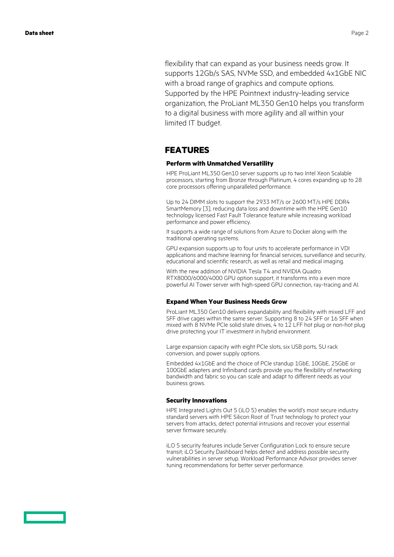flexibility that can expand as your business needs grow. It supports 12Gb/s SAS, NVMe SSD, and embedded 4x1GbE NIC with a broad range of graphics and compute options. Supported by the HPE Pointnext industry-leading service organization, the ProLiant ML350 Gen10 helps you transform to a digital business with more agility and all within your limited IT budget.

### **FEATURES**

#### **Perform with Unmatched Versatility**

HPE ProLiant ML350 Gen10 server supports up to two Intel Xeon Scalable processors, starting from Bronze through Platinum, 4 cores expanding up to 28 core processors offering unparalleled performance.

Up to 24 DIMM slots to support the 2933 MT/s or 2600 MT/s HPE DDR4 SmartMemory [3], reducing data loss and downtime with the HPE Gen10 technology licensed Fast Fault Tolerance feature while increasing workload performance and power efficiency.

It supports a wide range of solutions from Azure to Docker along with the traditional operating systems.

GPU expansion supports up to four units to accelerate performance in VDI applications and machine learning for financial services, surveillance and security, educational and scientific research, as well as retail and medical imaging.

With the new addition of NVIDIA Tesla T4 and NVIDIA Quadro RTX8000/6000/4000 GPU option support, it transforms into a even more powerful AI Tower server with high-speed GPU connection, ray-tracing and AI.

#### **Expand When Your Business Needs Grow**

ProLiant ML350 Gen10 delivers expandability and flexibility with mixed LFF and SFF drive cages within the same server. Supporting 8 to 24 SFF or 16 SFF when mixed with 8 NVMe PCIe solid state drives, 4 to 12 LFF hot plug or non-hot plug drive protecting your IT investment in hybrid environment.

Large expansion capacity with eight PCIe slots, six USB ports, 5U rack conversion, and power supply options.

Embedded 4x1GbE and the choice of PCIe standup 1GbE, 10GbE, 25GbE or 100GbE adapters and Infiniband cards provide you the flexibility of networking bandwidth and fabric so you can scale and adapt to different needs as your business grows.

#### **Security Innovations**

HPE Integrated Lights Out 5 (iLO 5) enables the world's most secure industry standard servers with HPE Silicon Root of Trust technology to protect your servers from attacks, detect potential intrusions and recover your essential server firmware securely.

iLO 5 security features include Server Configuration Lock to ensure secure transit; iLO Security Dashboard helps detect and address possible security vulnerabilities in server setup. Workload Performance Advisor provides server tuning recommendations for better server performance.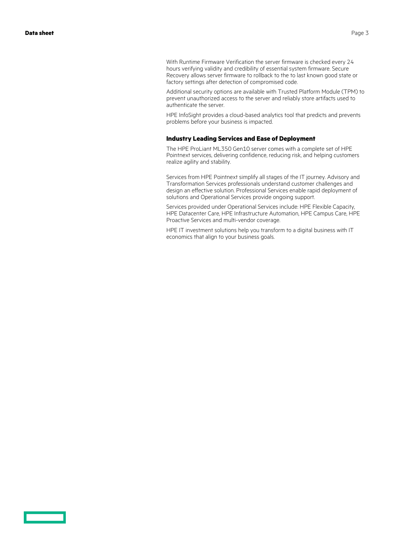With Runtime Firmware Verification the server firmware is checked every 24 hours verifying validity and credibility of essential system firmware. Secure Recovery allows server firmware to rollback to the to last known good state or factory settings after detection of compromised code.

Additional security options are available with Trusted Platform Module (TPM) to prevent unauthorized access to the server and reliably store artifacts used to authenticate the server.

HPE InfoSight provides a cloud-based analytics tool that predicts and prevents problems before your business is impacted.

#### **Industry Leading Services and Ease of Deployment**

The HPE ProLiant ML350 Gen10 server comes with a complete set of HPE Pointnext services, delivering confidence, reducing risk, and helping customers realize agility and stability.

Services from HPE Pointnext simplify all stages of the IT journey. Advisory and Transformation Services professionals understand customer challenges and design an effective solution. Professional Services enable rapid deployment of solutions and Operational Services provide ongoing support.

Services provided under Operational Services include: HPE Flexible Capacity, HPE Datacenter Care, HPE Infrastructure Automation, HPE Campus Care, HPE Proactive Services and multi-vendor coverage.

HPE IT investment solutions help you transform to a digital business with IT economics that align to your business goals.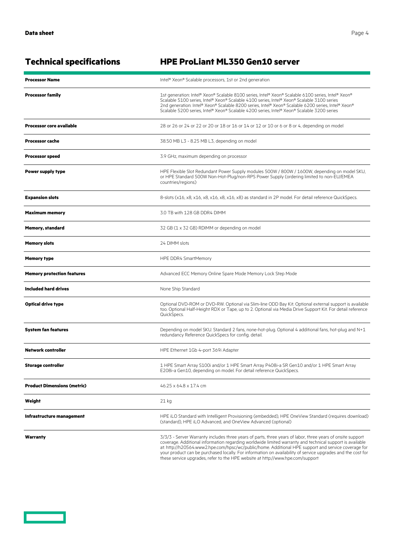| <b>Processor Name</b>              | Intel® Xeon® Scalable processors, 1st or 2nd generation                                                                                                                                                                                                                                                                                                                                              |
|------------------------------------|------------------------------------------------------------------------------------------------------------------------------------------------------------------------------------------------------------------------------------------------------------------------------------------------------------------------------------------------------------------------------------------------------|
| <b>Processor family</b>            | 1st generation: Intel® Xeon® Scalable 8100 series, Intel® Xeon® Scalable 6100 series, Intel® Xeon®<br>Scalable 5100 series, Intel® Xeon® Scalable 4100 series, Intel® Xeon® Scalable 3100 series<br>2nd generation: Intel® Xeon® Scalable 8200 series, Intel® Xeon® Scalable 6200 series, Intel® Xeon®<br>Scalable 5200 series, Intel® Xeon® Scalable 4200 series, Intel® Xeon® Scalable 3200 series |
| <b>Processor core available</b>    | 28 or 26 or 24 or 22 or 20 or 18 or 16 or 14 or 12 or 10 or 6 or 8 or 4, depending on model                                                                                                                                                                                                                                                                                                          |
| Processor cache                    | 38.50 MB L3 - 8.25 MB L3, depending on model                                                                                                                                                                                                                                                                                                                                                         |
| <b>Processor speed</b>             | 3.9 GHz, maximum depending on processor                                                                                                                                                                                                                                                                                                                                                              |
| Power supply type                  | HPE Flexible Slot Redundant Power Supply modules 500W / 800W / 1600W, depending on model SKU,<br>or HPE Standard 500W Non-Hot-Plug/non-RPS Power Supply (ordering limited to non-EU/EMEA<br>countries/regions)                                                                                                                                                                                       |
| <b>Expansion slots</b>             | 8-slots (x16, x8, x16, x8, x16, x8, x16, x8) as standard in 2P model. For detail reference QuickSpecs.                                                                                                                                                                                                                                                                                               |
| <b>Maximum memory</b>              | 3.0 TB with 128 GB DDR4 DIMM                                                                                                                                                                                                                                                                                                                                                                         |
| <b>Memory, standard</b>            | 32 GB (1 x 32 GB) RDIMM or depending on model                                                                                                                                                                                                                                                                                                                                                        |
| <b>Memory slots</b>                | 24 DIMM slots                                                                                                                                                                                                                                                                                                                                                                                        |
| <b>Memory type</b>                 | HPE DDR4 SmartMemory                                                                                                                                                                                                                                                                                                                                                                                 |
| <b>Memory protection features</b>  | Advanced ECC Memory Online Spare Mode Memory Lock Step Mode                                                                                                                                                                                                                                                                                                                                          |
| Included hard drives               | None Ship Standard                                                                                                                                                                                                                                                                                                                                                                                   |
| <b>Optical drive type</b>          | Optional DVD-ROM or DVD-RW. Optional via Slim-line ODD Bay Kit. Optional external support is available<br>too. Optional Half-Height RDX or Tape, up to 2. Optional via Media Drive Support Kit. For detail reference<br>QuickSpecs.                                                                                                                                                                  |
| <b>System fan features</b>         | Depending on model SKU. Standard 2 fans, none-hot-plug. Optional 4 additional fans, hot-plug and N+1<br>redundancy Reference QuickSpecs for config. detail.                                                                                                                                                                                                                                          |
| <b>Network controller</b>          | HPE Ethernet 1Gb 4-port 369i Adapter                                                                                                                                                                                                                                                                                                                                                                 |
| <b>Storage controller</b>          | 1 HPE Smart Array S100i and/or 1 HPE Smart Array P408i-a SR Gen10 and/or 1 HPE Smart Array<br>E208i-a Gen10, depending on model. For detail reference QuickSpecs.                                                                                                                                                                                                                                    |
| <b>Product Dimensions (metric)</b> | 46.25 x 64.8 x 17.4 cm                                                                                                                                                                                                                                                                                                                                                                               |
| Weight                             | 21 kg                                                                                                                                                                                                                                                                                                                                                                                                |
| Infrastructure management          | HPE iLO Standard with Intelligent Provisioning (embedded), HPE OneView Standard (requires download)<br>(standard). HPE iLO Advanced, and OneView Advanced (optional)                                                                                                                                                                                                                                 |
| Warranty                           | 3/3/3 - Server Warranty includes three years of parts, three years of labor, three years of onsite support                                                                                                                                                                                                                                                                                           |

# **Technical specifications HPE ProLiant ML350 Gen10 server**

coverage. Additional information regarding worldwide limited warranty and technical support is available at: http://h20564.www2.hpe.com/hpsc/wc/public/home. Additional HPE support and service coverage for your product can be purchased locally. For information on availability of service upgrades and the cost for these service upgrades, refer to the HPE website at http://www.hpe.com/support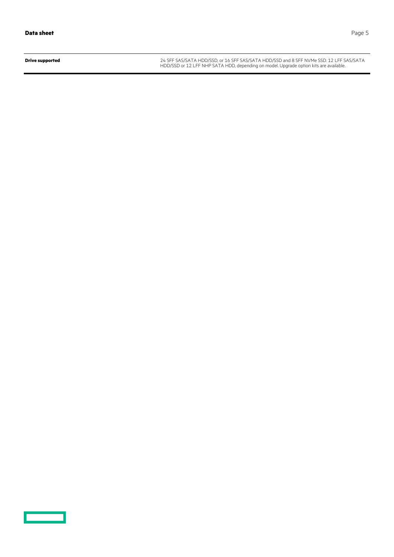<u>and the second part of the second part of the second part of the second part of the second part of the second part of the second part of the second part of the second part of the second part of the second part of the seco</u>

**Drive supported** 24 SFF SAS/SATA HDD/SSD, or 16 SFF SAS/SATA HDD/SSD and 8 SFF NVMe SSD. 12 LFF SAS/SATA HDD/SSD or 12 LFF NHP SATA HDD, depending on model. Upgrade option kits are available.